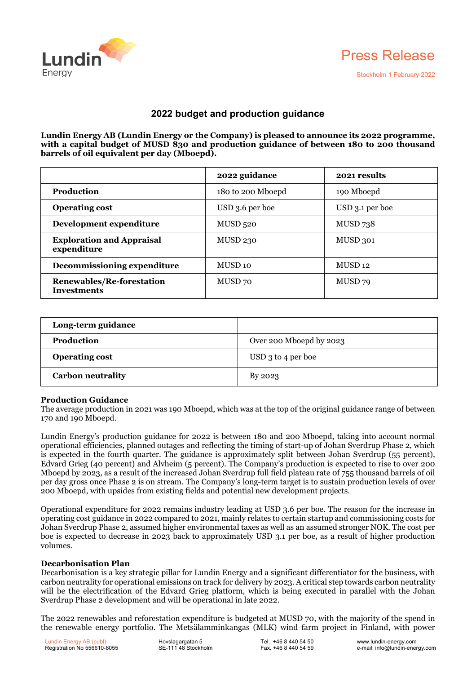



# **2022 budget and production guidance**

**Lundin Energy AB (Lundin Energy or the Company) is pleased to announce its 2022 programme, with a capital budget of MUSD 830 and production guidance of between 180 to 200 thousand barrels of oil equivalent per day (Mboepd).**

|                                                 | 2022 guidance      | 2021 results       |
|-------------------------------------------------|--------------------|--------------------|
| Production                                      | 180 to 200 Mboepd  | 190 Mboepd         |
| <b>Operating cost</b>                           | USD 3.6 per boe    | USD 3.1 per boe    |
| Development expenditure                         | MUSD 520           | <b>MUSD 738</b>    |
| <b>Exploration and Appraisal</b><br>expenditure | <b>MUSD 230</b>    | MUSD 301           |
| Decommissioning expenditure                     | MUSD <sub>10</sub> | MUSD <sub>12</sub> |
| Renewables/Re-forestation<br><b>Investments</b> | MUSD 70            | MUSD 79            |

| Long-term guidance       |                         |
|--------------------------|-------------------------|
| <b>Production</b>        | Over 200 Mboepd by 2023 |
| <b>Operating cost</b>    | $USD_3$ to 4 per boe    |
| <b>Carbon neutrality</b> | By 2023                 |

## **Production Guidance**

The average production in 2021 was 190 Mboepd, which was at the top of the original guidance range of between 170 and 190 Mboepd.

Lundin Energy's production guidance for 2022 is between 180 and 200 Mboepd, taking into account normal operational efficiencies, planned outages and reflecting the timing of start-up of Johan Sverdrup Phase 2, which is expected in the fourth quarter. The guidance is approximately split between Johan Sverdrup (55 percent), Edvard Grieg (40 percent) and Alvheim (5 percent). The Company's production is expected to rise to over 200 Mboepd by 2023, as a result of the increased Johan Sverdrup full field plateau rate 0f 755 thousand barrels of oil per day gross once Phase 2 is on stream. The Company's long-term target is to sustain production levels of over 200 Mboepd, with upsides from existing fields and potential new development projects.

Operational expenditure for 2022 remains industry leading at USD 3.6 per boe. The reason for the increase in operating cost guidance in 2022 compared to 2021, mainly relates to certain startup and commissioning costs for Johan Sverdrup Phase 2, assumed higher environmental taxes as well as an assumed stronger NOK. The cost per boe is expected to decrease in 2023 back to approximately USD 3.1 per boe, as a result of higher production volumes.

### **Decarbonisation Plan**

Decarbonisation is a key strategic pillar for Lundin Energy and a significant differentiator for the business, with carbon neutrality for operational emissions on track for delivery by 2023. A critical step towards carbon neutrality will be the electrification of the Edvard Grieg platform, which is being executed in parallel with the Johan Sverdrup Phase 2 development and will be operational in late 2022.

The 2022 renewables and reforestation expenditure is budgeted at MUSD 70, with the majority of the spend in the renewable energy portfolio. The Metsälamminkangas (MLK) wind farm project in Finland, with power

Lundin Energy AB (publ) Registration No 556610-8055 Hovslagargatan 5 SE-111 48 Stockholm Tel. +46 8 440 54 50 Fax. +46 8 440 54 59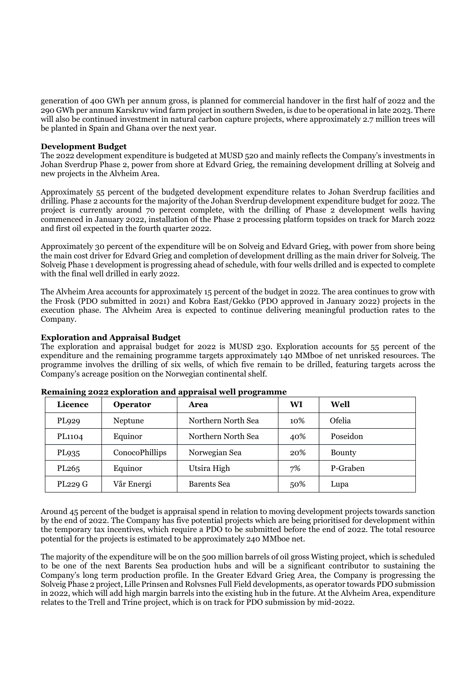generation of 400 GWh per annum gross, is planned for commercial handover in the first half of 2022 and the 290 GWh per annum Karskruv wind farm project in southern Sweden, is due to be operational in late 2023. There will also be continued investment in natural carbon capture projects, where approximately 2.7 million trees will be planted in Spain and Ghana over the next year.

### **Development Budget**

The 2022 development expenditure is budgeted at MUSD 520 and mainly reflects the Company's investments in Johan Sverdrup Phase 2, power from shore at Edvard Grieg, the remaining development drilling at Solveig and new projects in the Alvheim Area.

Approximately 55 percent of the budgeted development expenditure relates to Johan Sverdrup facilities and drilling. Phase 2 accounts for the majority of the Johan Sverdrup development expenditure budget for 2022. The project is currently around 70 percent complete, with the drilling of Phase 2 development wells having commenced in January 2022, installation of the Phase 2 processing platform topsides on track for March 2022 and first oil expected in the fourth quarter 2022.

Approximately 30 percent of the expenditure will be on Solveig and Edvard Grieg, with power from shore being the main cost driver for Edvard Grieg and completion of development drilling as the main driver for Solveig. The Solveig Phase 1 development is progressing ahead of schedule, with four wells drilled and is expected to complete with the final well drilled in early 2022.

The Alvheim Area accounts for approximately 15 percent of the budget in 2022. The area continues to grow with the Frosk (PDO submitted in 2021) and Kobra East/Gekko (PDO approved in January 2022) projects in the execution phase. The Alvheim Area is expected to continue delivering meaningful production rates to the Company.

**Exploration and Appraisal Budget**

The exploration and appraisal budget for 2022 is MUSD 230. Exploration accounts for 55 percent of the expenditure and the remaining programme targets approximately 140 MMboe of net unrisked resources. The programme involves the drilling of six wells, of which five remain to be drilled, featuring targets across the Company's acreage position on the Norwegian continental shelf.

| Licence           | Operator       | Area               | WI  | Well          |
|-------------------|----------------|--------------------|-----|---------------|
| PL929             | Neptune        | Northern North Sea | 10% | Ofelia        |
| PL1104            | Equinor        | Northern North Sea | 40% | Poseidon      |
| PL935             | ConocoPhillips | Norwegian Sea      | 20% | <b>Bounty</b> |
| PL <sub>265</sub> | Equinor        | Utsira High        | 7%  | P-Graben      |
| <b>PL229 G</b>    | Vår Energi     | Barents Sea        | 50% | Lupa          |

| Remaining 2022 exploration and appraisal well programme |  |
|---------------------------------------------------------|--|
|---------------------------------------------------------|--|

Around 45 percent of the budget is appraisal spend in relation to moving development projects towards sanction by the end of 2022. The Company has five potential projects which are being prioritised for development within the temporary tax incentives, which require a PDO to be submitted before the end of 2022. The total resource potential for the projects is estimated to be approximately 240 MMboe net.

The majority of the expenditure will be on the 500 million barrels of oil gross Wisting project, which is scheduled to be one of the next Barents Sea production hubs and will be a significant contributor to sustaining the Company's long term production profile. In the Greater Edvard Grieg Area, the Company is progressing the Solveig Phase 2 project, Lille Prinsen and Rolvsnes Full Field developments, as operator towards PDO submission in 2022, which will add high margin barrels into the existing hub in the future. At the Alvheim Area, expenditure relates to the Trell and Trine project, which is on track for PDO submission by mid-2022.